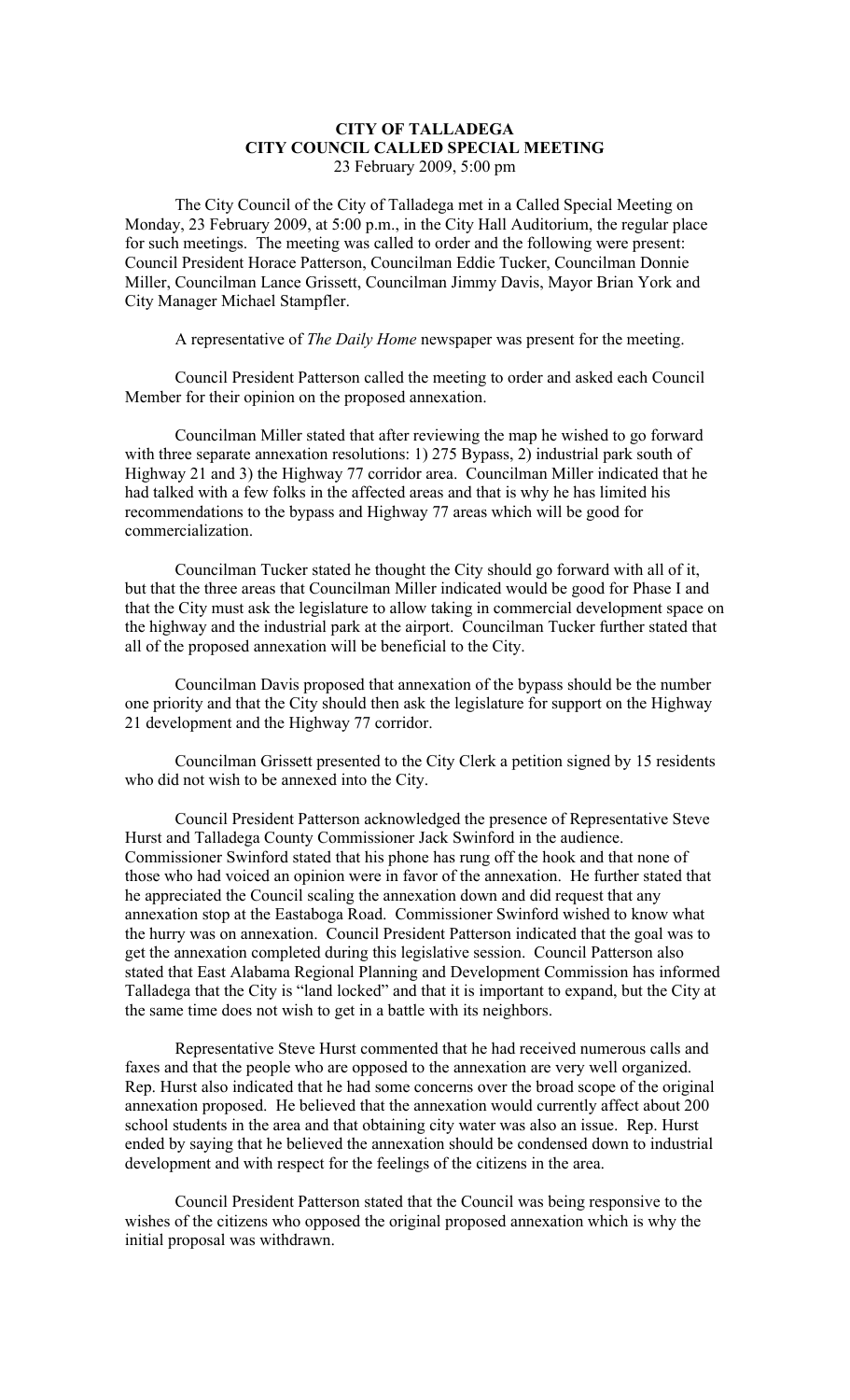## **CITY OF TALLADEGA CITY COUNCIL CALLED SPECIAL MEETING** 23 February 2009, 5:00 pm

The City Council of the City of Talladega met in a Called Special Meeting on Monday, 23 February 2009, at 5:00 p.m., in the City Hall Auditorium, the regular place for such meetings. The meeting was called to order and the following were present: Council President Horace Patterson, Councilman Eddie Tucker, Councilman Donnie Miller, Councilman Lance Grissett, Councilman Jimmy Davis, Mayor Brian York and City Manager Michael Stampfler.

A representative of *The Daily Home* newspaper was present for the meeting.

Council President Patterson called the meeting to order and asked each Council Member for their opinion on the proposed annexation.

Councilman Miller stated that after reviewing the map he wished to go forward with three separate annexation resolutions: 1) 275 Bypass, 2) industrial park south of Highway 21 and 3) the Highway 77 corridor area. Councilman Miller indicated that he had talked with a few folks in the affected areas and that is why he has limited his recommendations to the bypass and Highway 77 areas which will be good for commercialization.

Councilman Tucker stated he thought the City should go forward with all of it, but that the three areas that Councilman Miller indicated would be good for Phase I and that the City must ask the legislature to allow taking in commercial development space on the highway and the industrial park at the airport. Councilman Tucker further stated that all of the proposed annexation will be beneficial to the City.

Councilman Davis proposed that annexation of the bypass should be the number one priority and that the City should then ask the legislature for support on the Highway 21 development and the Highway 77 corridor.

Councilman Grissett presented to the City Clerk a petition signed by 15 residents who did not wish to be annexed into the City.

Council President Patterson acknowledged the presence of Representative Steve Hurst and Talladega County Commissioner Jack Swinford in the audience. Commissioner Swinford stated that his phone has rung off the hook and that none of those who had voiced an opinion were in favor of the annexation. He further stated that he appreciated the Council scaling the annexation down and did request that any annexation stop at the Eastaboga Road. Commissioner Swinford wished to know what the hurry was on annexation. Council President Patterson indicated that the goal was to get the annexation completed during this legislative session. Council Patterson also stated that East Alabama Regional Planning and Development Commission has informed Talladega that the City is "land locked" and that it is important to expand, but the City at the same time does not wish to get in a battle with its neighbors.

Representative Steve Hurst commented that he had received numerous calls and faxes and that the people who are opposed to the annexation are very well organized. Rep. Hurst also indicated that he had some concerns over the broad scope of the original annexation proposed. He believed that the annexation would currently affect about 200 school students in the area and that obtaining city water was also an issue. Rep. Hurst ended by saying that he believed the annexation should be condensed down to industrial development and with respect for the feelings of the citizens in the area.

Council President Patterson stated that the Council was being responsive to the wishes of the citizens who opposed the original proposed annexation which is why the initial proposal was withdrawn.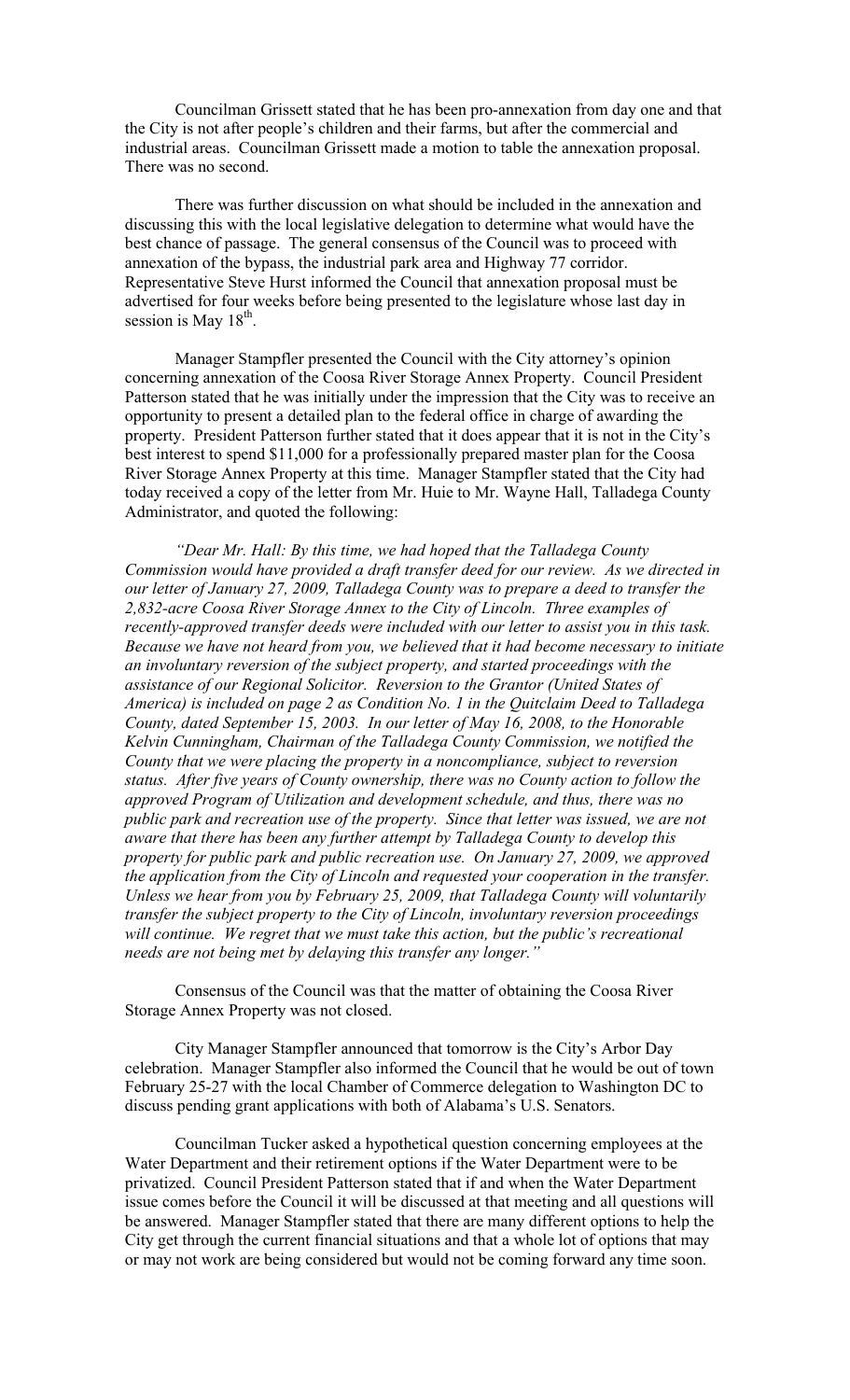Councilman Grissett stated that he has been pro-annexation from day one and that the City is not after people's children and their farms, but after the commercial and industrial areas. Councilman Grissett made a motion to table the annexation proposal. There was no second.

There was further discussion on what should be included in the annexation and discussing this with the local legislative delegation to determine what would have the best chance of passage. The general consensus of the Council was to proceed with annexation of the bypass, the industrial park area and Highway 77 corridor. Representative Steve Hurst informed the Council that annexation proposal must be advertised for four weeks before being presented to the legislature whose last day in session is May 18<sup>th</sup>.

Manager Stampfler presented the Council with the City attorney's opinion concerning annexation of the Coosa River Storage Annex Property. Council President Patterson stated that he was initially under the impression that the City was to receive an opportunity to present a detailed plan to the federal office in charge of awarding the property. President Patterson further stated that it does appear that it is not in the City's best interest to spend \$11,000 for a professionally prepared master plan for the Coosa River Storage Annex Property at this time. Manager Stampfler stated that the City had today received a copy of the letter from Mr. Huie to Mr. Wayne Hall, Talladega County Administrator, and quoted the following:

*"Dear Mr. Hall: By this time, we had hoped that the Talladega County Commission would have provided a draft transfer deed for our review. As we directed in our letter of January 27, 2009, Talladega County was to prepare a deed to transfer the 2,832-acre Coosa River Storage Annex to the City of Lincoln. Three examples of recently-approved transfer deeds were included with our letter to assist you in this task. Because we have not heard from you, we believed that it had become necessary to initiate an involuntary reversion of the subject property, and started proceedings with the assistance of our Regional Solicitor. Reversion to the Grantor (United States of America) is included on page 2 as Condition No. 1 in the Quitclaim Deed to Talladega County, dated September 15, 2003. In our letter of May 16, 2008, to the Honorable Kelvin Cunningham, Chairman of the Talladega County Commission, we notified the County that we were placing the property in a noncompliance, subject to reversion status. After five years of County ownership, there was no County action to follow the approved Program of Utilization and development schedule, and thus, there was no public park and recreation use of the property. Since that letter was issued, we are not aware that there has been any further attempt by Talladega County to develop this property for public park and public recreation use. On January 27, 2009, we approved the application from the City of Lincoln and requested your cooperation in the transfer. Unless we hear from you by February 25, 2009, that Talladega County will voluntarily transfer the subject property to the City of Lincoln, involuntary reversion proceedings will continue. We regret that we must take this action, but the public's recreational needs are not being met by delaying this transfer any longer."*

Consensus of the Council was that the matter of obtaining the Coosa River Storage Annex Property was not closed.

City Manager Stampfler announced that tomorrow is the City's Arbor Day celebration. Manager Stampfler also informed the Council that he would be out of town February 25-27 with the local Chamber of Commerce delegation to Washington DC to discuss pending grant applications with both of Alabama's U.S. Senators.

Councilman Tucker asked a hypothetical question concerning employees at the Water Department and their retirement options if the Water Department were to be privatized. Council President Patterson stated that if and when the Water Department issue comes before the Council it will be discussed at that meeting and all questions will be answered. Manager Stampfler stated that there are many different options to help the City get through the current financial situations and that a whole lot of options that may or may not work are being considered but would not be coming forward any time soon.